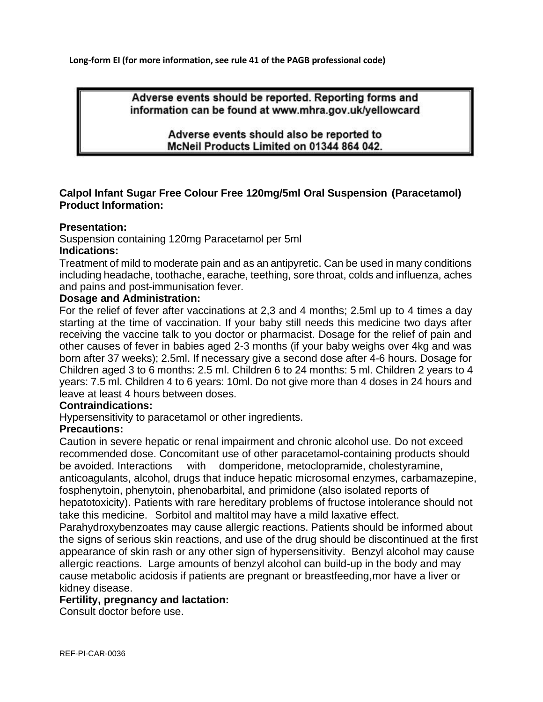**Long-form EI (for more information, see rule 41 of the PAGB professional code)**

Adverse events should be reported. Reporting forms and information can be found at www.mhra.gov.uk/yellowcard

> Adverse events should also be reported to McNeil Products Limited on 01344 864 042.

# **Calpol Infant Sugar Free Colour Free 120mg/5ml Oral Suspension (Paracetamol) Product Information:**

## **Presentation:**

Suspension containing 120mg Paracetamol per 5ml

## **Indications:**

Treatment of mild to moderate pain and as an antipyretic. Can be used in many conditions including headache, toothache, earache, teething, sore throat, colds and influenza, aches and pains and post-immunisation fever.

## **Dosage and Administration:**

For the relief of fever after vaccinations at 2,3 and 4 months; 2.5ml up to 4 times a day starting at the time of vaccination. If your baby still needs this medicine two days after receiving the vaccine talk to you doctor or pharmacist. Dosage for the relief of pain and other causes of fever in babies aged 2-3 months (if your baby weighs over 4kg and was born after 37 weeks); 2.5ml. If necessary give a second dose after 4-6 hours. Dosage for Children aged 3 to 6 months: 2.5 ml. Children 6 to 24 months: 5 ml. Children 2 years to 4 years: 7.5 ml. Children 4 to 6 years: 10ml. Do not give more than 4 doses in 24 hours and leave at least 4 hours between doses.

#### **Contraindications:**

Hypersensitivity to paracetamol or other ingredients.

# **Precautions:**

Caution in severe hepatic or renal impairment and chronic alcohol use. Do not exceed recommended dose. Concomitant use of other paracetamol-containing products should be avoided. Interactions with domperidone, metoclopramide, cholestyramine, anticoagulants, alcohol, drugs that induce hepatic microsomal enzymes, carbamazepine, fosphenytoin, phenytoin, phenobarbital, and primidone (also isolated reports of hepatotoxicity). Patients with rare hereditary problems of fructose intolerance should not take this medicine. Sorbitol and maltitol may have a mild laxative effect.

Parahydroxybenzoates may cause allergic reactions. Patients should be informed about the signs of serious skin reactions, and use of the drug should be discontinued at the first appearance of skin rash or any other sign of hypersensitivity. Benzyl alcohol may cause allergic reactions. Large amounts of benzyl alcohol can build-up in the body and may cause metabolic acidosis if patients are pregnant or breastfeeding,mor have a liver or kidney disease.

#### **Fertility, pregnancy and lactation:**

Consult doctor before use.